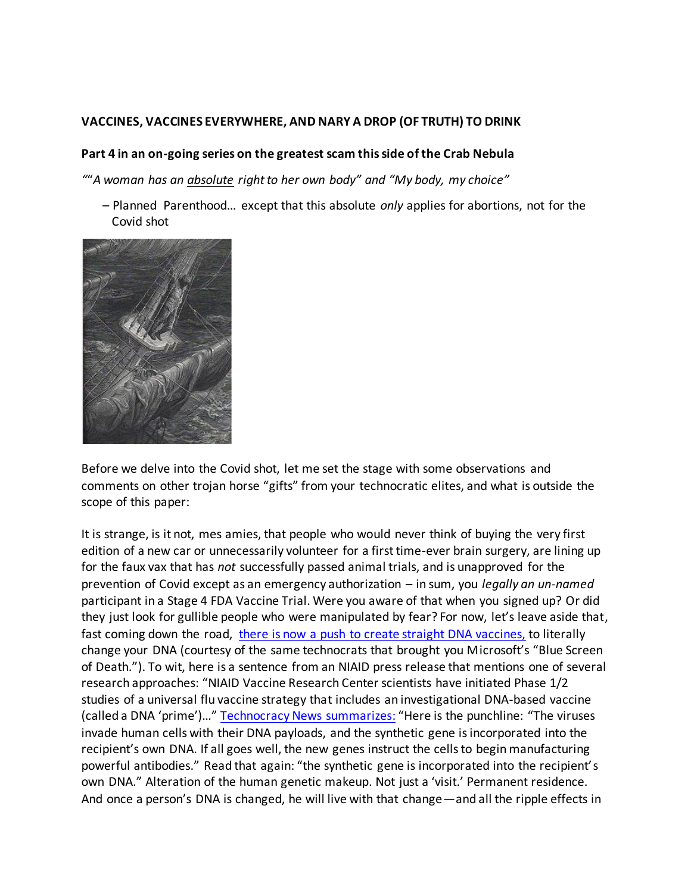## **VACCINES, VACCINES EVERYWHERE, AND NARY A DROP (OF TRUTH) TO DRINK**

## **Part 4 in an on-going series on the greatest scam this side of the Crab Nebula**

*"*"*A woman has an absolute right to her own body" and "My body, my choice"*

 – Planned Parenthood… except that this absolute *only* applies for abortions, not for the Covid shot



Before we delve into the Covid shot, let me set the stage with some observations and comments on other trojan horse "gifts" from your technocratic elites, and what is outside the scope of this paper:

It is strange, is it not, mes amies, that people who would never think of buying the very first edition of a new car or unnecessarily volunteer for a first time-ever brain surgery, are lining up for the faux vax that has *not* successfully passed animal trials, and is unapproved for the prevention of Covid except as an emergency authorization – in sum, you *legally an un-named*  participant in a Stage 4 FDA Vaccine Trial. Were you aware of that when you signed up? Or did they just look for gullible people who were manipulated by fear? For now, let's leave aside that, fast coming down the road, [there is now a push to create straight DNA vaccines,](https://www.technocracy.news/warning-dna-based-vaccines-are-straight-ahead/) to literally change your DNA (courtesy of the same technocrats that brought you Microsoft's "Blue Screen of Death."). To wit, here is a sentence from an NIAID press release that mentions one of several research approaches: "NIAID Vaccine Research Center scientists have initiated Phase 1/2 studies of a universal flu vaccine strategy that includes an investigational DNA-based vaccine (called a DNA 'prime')…" [Technocracy News summarizes:](https://www.technocracy.news/warning-dna-based-vaccines-are-straight-ahead/) "Here is the punchline: "The viruses invade human cells with their DNA payloads, and the synthetic gene is incorporated into the recipient's own DNA. If all goes well, the new genes instruct the cells to begin manufacturing powerful antibodies." Read that again: "the synthetic gene is incorporated into the recipient's own DNA." Alteration of the human genetic makeup. Not just a 'visit.' Permanent residence. And once a person's DNA is changed, he will live with that change—and all the ripple effects in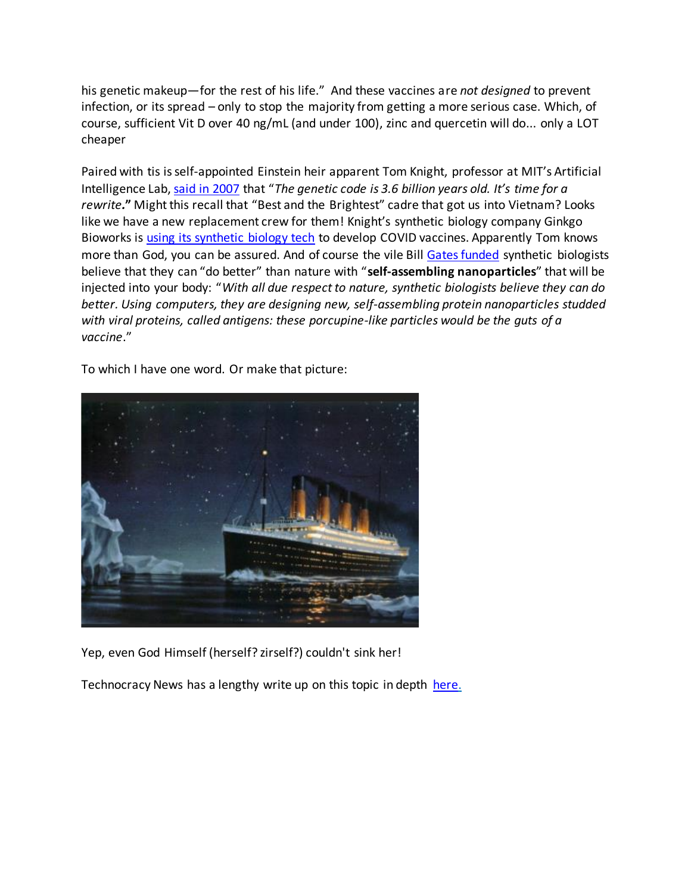his genetic makeup—for the rest of his life." And these vaccines are *not designed* to prevent infection, or its spread – only to stop the majority from getting a more serious case. Which, of course, sufficient Vit D over 40 ng/mL (and under 100), zinc and quercetin will do... only a LOT cheaper

Paired with tis is self-appointed Einstein heir apparent Tom Knight, professor at MIT's Artificial Intelligence Lab, [said in 2007](https://www.newsweek.com/scientists-push-boundaries-human-life-101723) that "*The genetic code is 3.6 billion years old. It's time for a rewrite.***"** Might this recall that "Best and the Brightest" cadre that got us into Vietnam? Looks like we have a new replacement crew for them! Knight's synthetic biology company Ginkgo Bioworks is [using its synthetic biology tech](https://www.forbes.com/sites/alexandrasternlicht/2020/03/20/synthetic-biology-powerhouse-ginkgo-bioworks-pledges-25-million-in-resources-to-projects-that-combat-coronavirus/?sh=4213a7e3676f) to develop COVID vaccines. Apparently Tom knows more than God, you can be assured. And of course the vile Bil[l Gates funded](https://www.statnews.com/2020/03/09/coronavirus-scientists-play-legos-with-proteins-to-build-next-gen-vaccine/) synthetic biologists believe that they can "do better" than nature with "**self-assembling nanoparticles**" that will be injected into your body: "*With all due respect to nature, synthetic biologists believe they can do better. Using computers, they are designing new, self-assembling protein nanoparticles studded with viral proteins, called antigens: these porcupine-like particles would be the guts of a vaccine*."

To which I have one word. Or make that picture:



Yep, even God Himself (herself? zirself?) couldn't sink her!

Technocracy News has a lengthy write up on this topic in depth [here](https://www.technocracy.news/covid-mrna-vaccines-kick-off-planetary-genetic-overwrite/).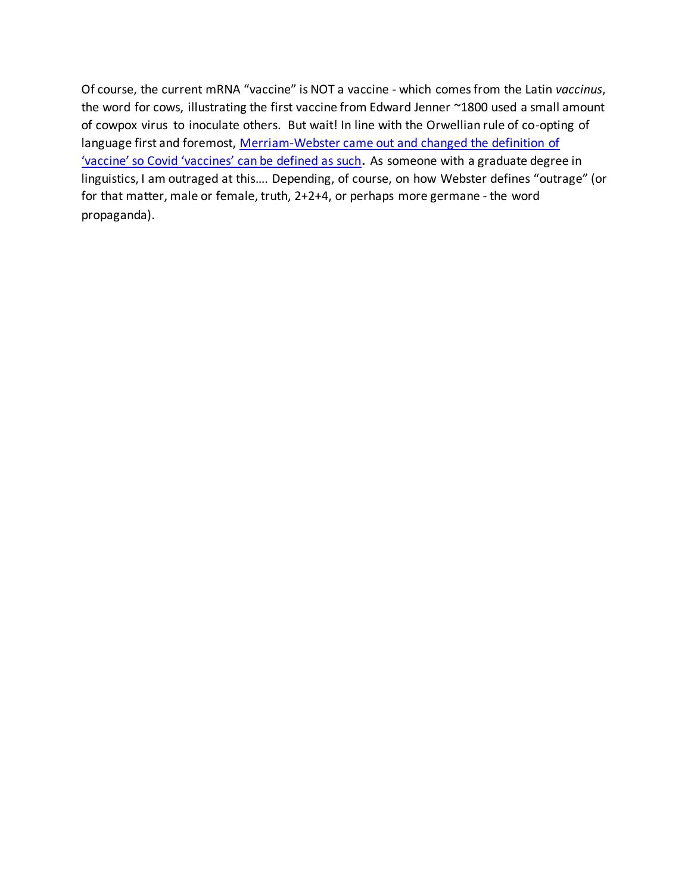Of course, the current mRNA "vaccine" is NOT a vaccine - which comes from the Latin *vaccinus*, the word for cows, illustrating the first vaccine from Edward Jenner ~1800 used a small amount of cowpox virus to inoculate others. But wait! In line with the Orwellian rule of co-opting of language first and foremost, [Merriam-Webster came out and changed the definition of](https://freedomfirstnetwork.com/2021/04/merriam-webster-adds-new-definition-of-vaccine-so-covid-vaccines-can-be-defined-as-such)  ['vaccine' so Covid 'vaccines' can be defined as such](https://freedomfirstnetwork.com/2021/04/merriam-webster-adds-new-definition-of-vaccine-so-covid-vaccines-can-be-defined-as-such)**.** As someone with a graduate degree in linguistics, I am outraged at this…. Depending, of course, on how Webster defines "outrage" (or for that matter, male or female, truth, 2+2+4, or perhaps more germane - the word propaganda).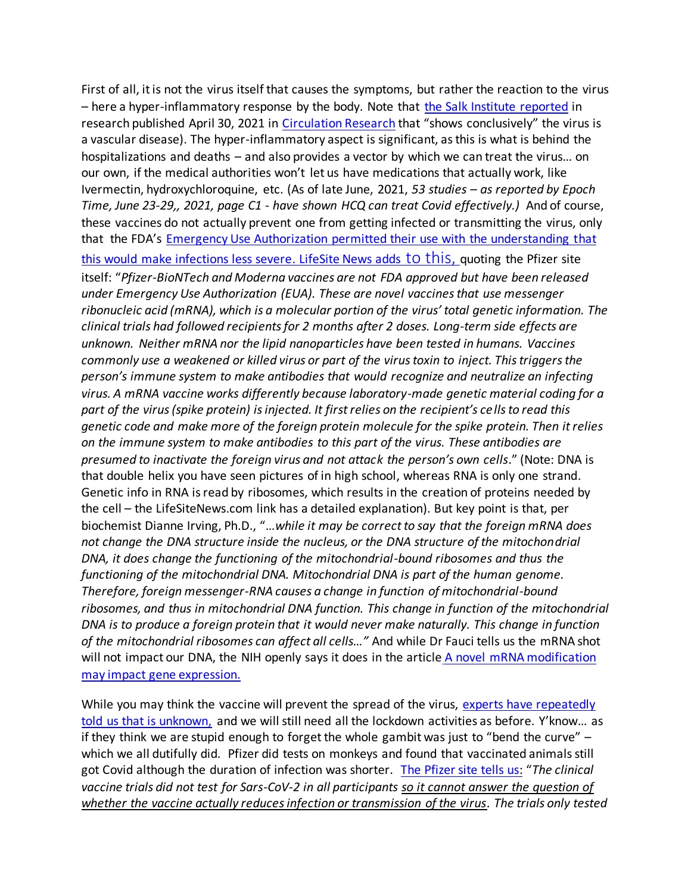First of all, it is not the virus itself that causes the symptoms, but rather the reaction to the virus – here a hyper-inflammatory response by the body. Note that [the Salk Institute reported](https://www.salk.edu/news-release/the-novel-coronavirus-spike-protein-plays-additional-key-role-in-illness/) in research published April 30, 2021 i[n Circulation Research](https://www.ahajournals.org/doi/10.1161/CIRCRESAHA.121.318902) that "shows conclusively" the virus is a vascular disease). The hyper-inflammatory aspect is significant, as this is what is behind the hospitalizations and deaths – and also provides a vector by which we can treat the virus… on our own, if the medical authorities won't let us have medications that actually work, like Ivermectin, hydroxychloroquine, etc. (As of late June, 2021, *53 studies – as reported by Epoch Time, June 23-29,, 2021, page C1 - have shown HCQ can treat Covid effectively.)* And of course, these vaccines do not actually prevent one from getting infected or transmitting the virus, only that the FDA's [Emergency Use Authorization permitted their use with the understanding that](https://off-guardian.org/2021/03/30/covid-vaccine-nonsense/)  [this would make infections less severe.](https://off-guardian.org/2021/03/30/covid-vaccine-nonsense/) [LifeSite](https://www.lifesitenews.com/opinion/covid-19-vaccine-information-to-consent-or-to-decline) News adds [to this,](https://www.lifesitenews.com/opinion/covid-19-vaccine-information-to-consent-or-to-decline) quoting the Pfizer site itself: "*Pfizer-BioNTech and Moderna vaccines are not FDA approved but have been released under Emergency Use Authorization (EUA). These are novel vaccines that use messenger ribonucleic acid (mRNA), which is a molecular portion of the virus' total genetic information. The clinical trials had followed recipients for 2 months after 2 doses. Long-term side effects are unknown. Neither mRNA nor the lipid nanoparticles have been tested in humans. Vaccines commonly use a weakened or killed virus or part of the virus toxin to inject. This triggers the person's immune system to make antibodies that would recognize and neutralize an infecting virus. A mRNA vaccine works differently because laboratory-made genetic material coding for a part of the virus (spike protein) is injected. It first relies on the recipient's cells to read this genetic code and make more of the foreign protein molecule for the spike protein. Then it relies on the immune system to make antibodies to this part of the virus. These antibodies are presumed to inactivate the foreign virus and not attack the person's own cells*." (Note: DNA is that double helix you have seen pictures of in high school, whereas RNA is only one strand. Genetic info in RNA is read by ribosomes, which results in the creation of proteins needed by the cell – the LifeSiteNews.com link has a detailed explanation). But key point is that, per biochemist Dianne Irving, Ph.D., "…*while it may be correct to say that the foreign mRNA does not change the DNA structure inside the nucleus, or the DNA structure of the mitochondrial DNA, it does change the functioning of the mitochondrial-bound ribosomes and thus the functioning of the mitochondrial DNA. Mitochondrial DNA is part of the human genome. Therefore, foreign messenger-RNA causes a change in function of mitochondrial-bound ribosomes, and thus in mitochondrial DNA function. This change in function of the mitochondrial DNA is to produce a foreign protein that it would never make naturally. This change in function of the mitochondrial ribosomes can affect all cells…"* And while Dr Fauci tells us the mRNA shot will not impact our DNA, the NIH openly says it does in the article A novel mRNA modification [may impact gene expression.](https://ccr.cancer.gov/news/article/a-novel-mrna-modification-may-impact-gene-expression)

[While](https://ccr.cancer.gov/news/article/a-novel-mrna-modification-may-impact-gene-expression) you may think the vaccine will prevent the spread of the virus, experts have repeatedly told us that is unknown, and we will still need all the lockdown activities as before. Y'know… as if they think we are stupid enough to forget the whole gambit was just to "bend the curve" – which we all dutifully did. Pfizer did tests on monkeys and found that vaccinated animals still got Covid although the duration of infection was shorter. [The Pfizer site tells us:](https://www.pfizer.com/news/press-release/press-release-detail/pfizer-and-biontech-conclude-phase-3-study-covid-19-vaccine%20(A) "*The clinical vaccine trials did not test for Sars-CoV-2 in all participants so it cannot answer the question of whether the vaccine actually reduces infection or transmission of the virus. The trials only tested*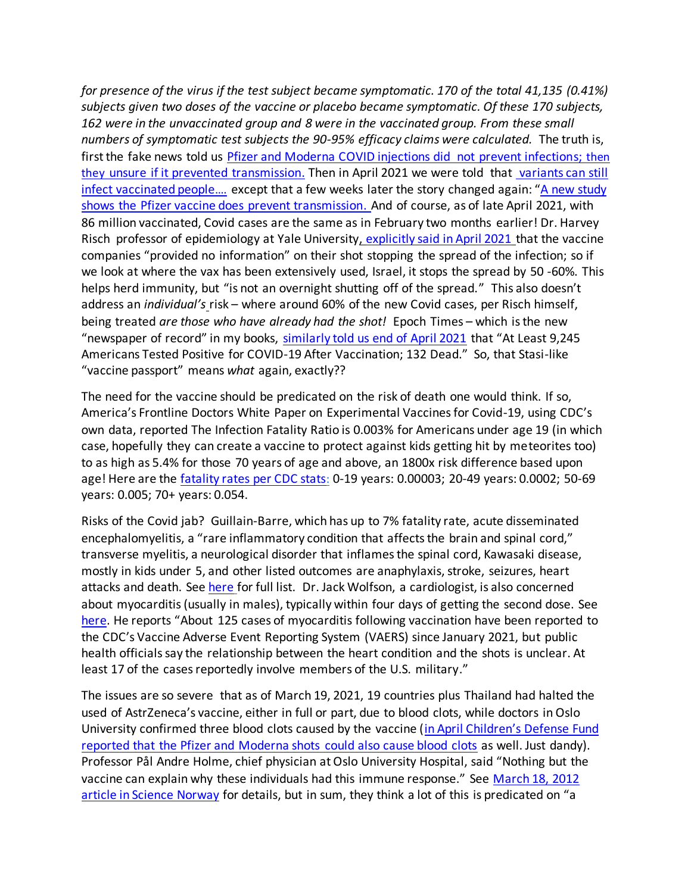*for presence of the virus if the test subject became symptomatic. 170 of the total 41,135 (0.41%) subjects given two doses of the vaccine or placebo became symptomatic. Of these 170 subjects, 162 were in the unvaccinated group and 8 were in the vaccinated group. From these small numbers of symptomatic test subjects the 90-95% efficacy claims were calculated.* The truth is, first the fake news told us [Pfizer and Moderna COVID injections did not prevent infections](https://www.wusa9.com/article/news/verify/verify-moderna-and-pfizer-vaccines-may-prevent-disease-but-not-infection/65-f65cb7ee-24dc-48d0-bc08-8cfb3423a3b6); then they [unsure if it prevented transmission.](http://www.digitaljournal.com/life/health/pfizer-ceo-not-sure-if-vaccine-will-stop-transmission-of-virus/article/582100) Then in April 2021 we were told that variants can still [infect vaccinated people](https://www.marketwatch.com/story/an-israeli-study-says-a-covid-19-variant-can-still-infect-vaccinated-people-heres-what-dr-fauci-says-the-research-means-11618263415?siteid=yhoof2&yptr=yahoo).... except that a few weeks later the story changed again: "A new study [shows the Pfizer vaccine does prevent transmission.](https://bgr.com/science/coronavirus-vaccine-pfizer-biontech-drug-prevents-covid-19-transmission-5912684/) And of course, as of late April 2021, with 86 million vaccinated, Covid [cases are the same as in February two months earlier!](https://freedomfirstnetwork.com/2021/04/its-not-working-86-million-vaccinated-yet-daily-covid-19-cases-are-the-same-as-they-were-in-february) Dr. Harvey Risch professor of epidemiology at Yale University, [explicitly said in April 2021](https://rumble.com/vftpdz-dr.-harvey-risch-60-of-new-covid-patients-have-been-vaccinated.html) that the vaccine companies "provided no information" on their shot stopping the spread of the infection; so if we look at where the vax has been extensively used, Israel, it stops the spread by 50 -60%. This helps herd immunity, but "is not an overnight shutting off of the spread." This also doesn't address an *individual's* risk – where around 60% of the new Covid cases, per Risch himself, being treated *are those who have already had the shot!* Epoch Times – which is the new "newspaper of record" in my books, [similarly told us end of April 2021](https://link.theepochtimes.com/mkt_app/at-least-9245-americans-tested-positive-for-covid-19-after-vaccination-132-dead_3798410.html) that "At Least 9,245 Americans Tested Positive for COVID-19 After Vaccination; 132 Dead." So, that Stasi-like "vaccine passport" means *what* again, exactly??

The need for the vaccine should be predicated on the risk of death one would think. If so, America's Frontline Doctors White Paper on Experimental Vaccines for Covid-19, using CDC's own data, reported The Infection Fatality Ratio is 0.003% for Americans under age 19 (in which case, hopefully they can create a vaccine to protect against kids getting hit by meteorites too) to as high as 5.4% for those 70 years of age and above, an 1800x risk difference based upon age! Here are the [fatality rates per CDC stats](https://www.cdc.gov/coronavirus/2019-ncov/hcp/planning-scenarios.html)[:](https://www.cdc.gov/coronavirus/2019-ncov/hcp/planning-scenarios.html) 0-19 years: 0.00003; 20-49 years: 0.0002; 50-69 years: 0.005; 70+ years: 0.054.

Risks of the Covid jab? Guillain-Barre, which has up to 7% fatality rate, acute disseminated encephalomyelitis, a "rare inflammatory condition that affects the brain and spinal cord," transverse myelitis, a neurological disorder that inflames the spinal cord, Kawasaki disease, mostly in kids under 5, and other listed outcomes are anaphylaxis, stroke, seizures, heart attacks and death. See [here](https://www.lifesitenews.com/news/fda-death-heart-attacks-stroke-blood-disorders-all-possible-side-effects-of-covid-vaccine?utm_source=LifeSiteNews.com&utm_campaign=2543eabb1a-Daily%2520Headlines%2520-%2520U.S._COPY_914&utm_medium=email&utm_term=0_12387f0e3e-2543eabb1a-402348069) for full list. Dr. Jack Wolfson, a cardiologist, is also concerned about myocarditis (usually in males), typically within four days of getting the second dose. See [here](https://naturalheartdoctor.com/the-new-shot-linked-to-heart-problems/). He reports "About 125 cases of myocarditis following vaccination have been reported to the CDC's Vaccine Adverse Event Reporting System (VAERS) since January 2021, but public health officials say the relationship between the heart condition and the shots is unclear. At least 17 of the cases reportedly involve members of the U.S. military."

The issues are so severe that as of March 19, 2021, 19 countries plus Thailand had halted the used of AstrZeneca's vaccine, either in full or part, due to blood clots, while doctors in Oslo University confirmed three blood clots caused by the vaccine ([in April Children's Defense Fund](https://childrenshealthdefense.org/defender/pfizer-moderna-vaccines-blood-clots/)  [reported that the Pfizer and Moderna shots could also cause blood clots](https://childrenshealthdefense.org/defender/pfizer-moderna-vaccines-blood-clots/) as well. Just dandy). Professor Pål Andre Holme, chief physician at Oslo University Hospital, said "Nothing but the vaccine can explain why these individuals had this immune response." See [March 18, 2012](https://www.rt.com/news/518531-norway-astrazeneca-link-blood-clots/)  [article in Science Norway](https://www.rt.com/news/518531-norway-astrazeneca-link-blood-clots/) for details, but in sum, they think a lot of this is predicated on "a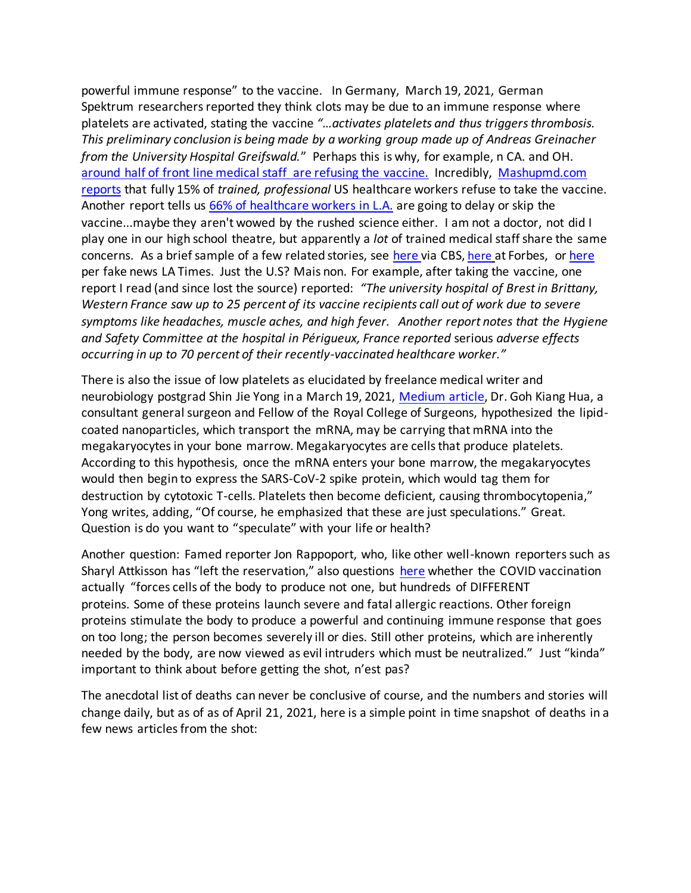powerful immune response" to the vaccine. In Germany, March 19, 2021, German Spektrum researchers reported they think clots may be due to an immune response where platelets are activated, stating the vaccine *"…activates platelets and thus triggers thrombosis. This preliminary conclusion is being made by a working group made up of Andreas Greinacher from the University Hospital Greifswald.*" Perhaps this is why, for example, n CA. and OH. [around half of front line medical staff](https://www.nbcnews.com/news/us-news/many-frontline-workers-refuse-covid-19-vaccines-distribution-rollout-struggles-n1252617) are refusing the vaccine. Incredibly, [Mashupmd.com](https://mashupmd.com/survey-finds-15-of-us-healthcare-workers-refuse-to-take-covid-19-vaccine-2/?utm_source=MagnetMail&utm_medium=email&utm_term=drjwolfie@yahoo.com&utm_content=DocWire%20News%20Daily%20Report%2D01%2D19%5FRESEND&utm_campaign=One%20in%20eight%20recovered%20COVID%2D19%20patients%20reportedly%20die%20within%205%20months)  [reports](https://mashupmd.com/survey-finds-15-of-us-healthcare-workers-refuse-to-take-covid-19-vaccine-2/?utm_source=MagnetMail&utm_medium=email&utm_term=drjwolfie@yahoo.com&utm_content=DocWire%20News%20Daily%20Report%2D01%2D19%5FRESEND&utm_campaign=One%20in%20eight%20recovered%20COVID%2D19%20patients%20reportedly%20die%20within%205%20months) that fully 15% of *trained, professional* US healthcare workers refuse to take the vaccine. Another report tells us [66% of healthcare workers](https://www.washingtonpost.com/business/2020/11/21/vaccines-advocates-nurses-doctors-coronavirus/) in L.A. are going to delay or skip the vaccine...maybe they aren't wowed by the rushed science either. I am not a doctor, not did I play one in our high school theatre, but apparently a *lot* of trained medical staff share the same concerns. As a brief sample of a few related stories, see [here](https://www.cbsnews.com/news/covid-vaccine-health-care-worker-reluctance/) via CBS, [here](https://www.forbes.com/sites/tommybeer/2021/01/02/large-numbers-of-health-care-and-frontline-workers-are-refusing-covid-19-vaccine/?sh=1059f13d3c96) at Forbes, o[r here](https://www.latimes.com/california/story/2020-12-31/healthcare-workers-refuse-covid-19-vaccine-access) per fake news LA Times. Just the U.S? Mais non. For example, after taking the vaccine, one report I read (and since lost the source) reported: *"The university hospital of Brest in Brittany, Western France saw up to 25 percent of its vaccine recipients call out of work due to severe symptoms like headaches, muscle aches, and high fever. Another report notes that the Hygiene and Safety Committee at the hospital in Périgueux, France reported* serious *adverse effects occurring in up to 70 percent of their recently-vaccinated healthcare worker."* 

There is also the issue of low platelets as elucidated by freelance medical writer and neurobiology postgrad Shin Jie Yong in a March 19, 2021, [Medium article,](https://medium.com/microbial-instincts/concerns-of-lipid-nanoparticle-carrying-mrna-vaccine-into-the-brain-what-to-make-of-it-42b1a98dae27) Dr. Goh Kiang Hua, a consultant general surgeon and Fellow of the Royal College of Surgeons, hypothesized the lipidcoated nanoparticles, which transport the mRNA, may be carrying that mRNA into the megakaryocytes in your bone marrow. Megakaryocytes are cells that produce platelets. According to this hypothesis, once the mRNA enters your bone marrow, the megakaryocytes would then begin to express the SARS-CoV-2 spike protein, which would tag them for destruction by cytotoxic T-cells. Platelets then become deficient, causing thrombocytopenia," Yong writes, adding, "Of course, he emphasized that these are just speculations." Great. Question is do you want to "speculate" with your life or health?

Another question: Famed reporter Jon Rappoport, who, like other well-known reporters such as Sharyl Attkisson has "left the reservation," also questions [here](https://blog.nomorefakenews.com/2021/05/04/is-the-genetic-covid-vaccine-creating-a-hurricane-inside-cells-of-the-body/) whether the COVID vaccination actually "forces cells of the body to produce not one, but hundreds of DIFFERENT proteins. Some of these proteins launch severe and fatal allergic reactions. Other foreign proteins stimulate the body to produce a powerful and continuing immune response that goes on too long; the person becomes severely ill or dies. Still other proteins, which are inherently needed by the body, are now viewed as evil intruders which must be neutralized." Just "kinda" important to think about before getting the shot, n'est pas?

The anecdotal list of deaths can never be conclusive of course, and the numbers and stories will change daily, but as of as of April 21, 2021, here is a simple point in time snapshot of deaths in a few news articles from the shot: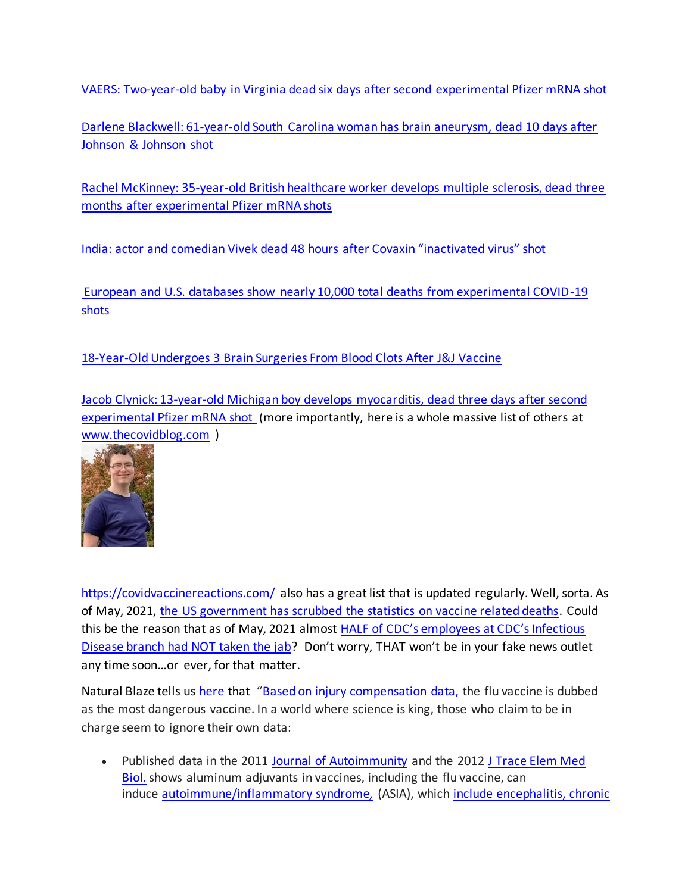[VAERS: Two-year-old baby in Virginia dead six days after second experimental Pfizer mRNA shot](https://thecovidblog.com/2021/04/19/vaers-two-year-old-baby-in-virginia-dead-six-days-after-second-pfizer-shot/)

[Darlene Blackwell: 61-year-old South Carolina woman has brain aneurysm, dead 10 days after](https://thecovidblog.com/2021/04/19/darlene-blackwell-61-year-old-south-carolina-woman-has-brain-aneurysm-dead-two-days-after-johnson-johnson-shot/)  [Johnson & Johnson shot](https://thecovidblog.com/2021/04/19/darlene-blackwell-61-year-old-south-carolina-woman-has-brain-aneurysm-dead-two-days-after-johnson-johnson-shot/)

[Rachel McKinney: 35-year-old British healthcare worker develops multiple sclerosis, dead three](https://thecovidblog.com/2021/04/17/rachel-mckinney-35-year-old-british-healthcare-worker-dead-three-months-after-experimental-pfizer-mrna-shots/)  [months after experimental Pfizer mRNA shots](https://thecovidblog.com/2021/04/17/rachel-mckinney-35-year-old-british-healthcare-worker-dead-three-months-after-experimental-pfizer-mrna-shots/)

[India: actor and comedian Vivek dead 48 hours after Covaxin "inactivated virus" shot](https://thecovidblog.com/2021/04/17/india-actor-and-comedian-vivekh-dead-48-hours-after-covaxin-inactivated-virus-shot/)

[European and U.S. databases show nearly 10,000 total deaths from experimental COVID-19](https://thecovidblog.com/2021/04/18/european-and-u-s-databases-show-nearly-10000-total-deaths-from-experimental-covid-19-shots/)  [shots](https://thecovidblog.com/2021/04/18/european-and-u-s-databases-show-nearly-10000-total-deaths-from-experimental-covid-19-shots/) 

[18-Year-Old Undergoes 3 Brain Surgeries From Blood Clots After J&J Vaccine](https://childrenshealthdefense.org/defender/teen-surgeries-blood-clots-johnson-johnson-vaccine/?utm_source=salsa&eType=EmailBlastContent&eId=862a4102-d542-4df5-883b-3574d22cd4b4)

[Jacob Clynick: 13-year-old Michigan boy develops myocarditis, dead three days after second](https://thecovidblog.com/2021/06/21/jacob-clynick-13-year-old-michigan-boy-develops-myocarditis-dead-three-days-after-second-experimental-pfizer-mrna-shot/)  [experimental Pfizer mRNA shot](https://thecovidblog.com/2021/06/21/jacob-clynick-13-year-old-michigan-boy-develops-myocarditis-dead-three-days-after-second-experimental-pfizer-mrna-shot/) (more importantly, here is a whole massive list of others at [www.thecovidblog.com](http://www.thecovidblog.com/) )



<https://covidvaccinereactions.com/> also has a great list that is updated regularly. Well, sorta. As of May, 2021, [the US government has scrubbed the statistics on vaccine related deaths.](https://noqreport.com/2021/05/18/government-scrubs-stats-on-vaccine-related-deaths/) Could this be the reason that as of May, 2021 almost HALF of CDC's employees at CDC's Infectious [Disease branch had NOT taken the jab?](https://needtoknow.news/2021/05/almost-half-of-the-employees-with-the-cdc-have-not-taken-a-covid-19-vaccine/) Don't worry, THAT won't be in your fake news outlet any time soon…or ever, for that matter.

Natural Blaze tells us [here](https://www.naturalblaze.com/2021/05/stand-your-ground-against-forced-medicine.html?utm_source=Natural+Blaze+Subscribers&utm_medium=email&utm_campaign=1cec073926-RSS_EMAIL_CAMPAIGN&utm_term=0_b73c66b129-1cec073926-388484028) that "[Based on injury compensation data,](https://www.hrsa.gov/vaccine-compensation/data/index.html) the flu vaccine is dubbed as the most dangerous vaccine. In a world where science is king, those who claim to be in charge seem to ignore their own data:

• Published data in the 2011 [Journal of Autoimmunity](https://www.sciencedirect.com/science/article/pii/S0896841110000788?via%3Dihub) and the 2012 J Trace Elem Med [Biol](https://www.sciencedirect.com/science/article/pii/S0946672X12000089?via%3Dihub)*.* shows aluminum adjuvants in vaccines, including the flu vaccine, can induce [autoimmune/inflammatory syndrome](http://lup.sagepub.com/content/21/2/118.full)*,* (ASIA), which include [encephalitis,](https://www.sciencedirect.com/science/article/pii/S0967586808001896) [chronic](https://www.sciencedirect.com/science/article/pii/S0946672X12000089)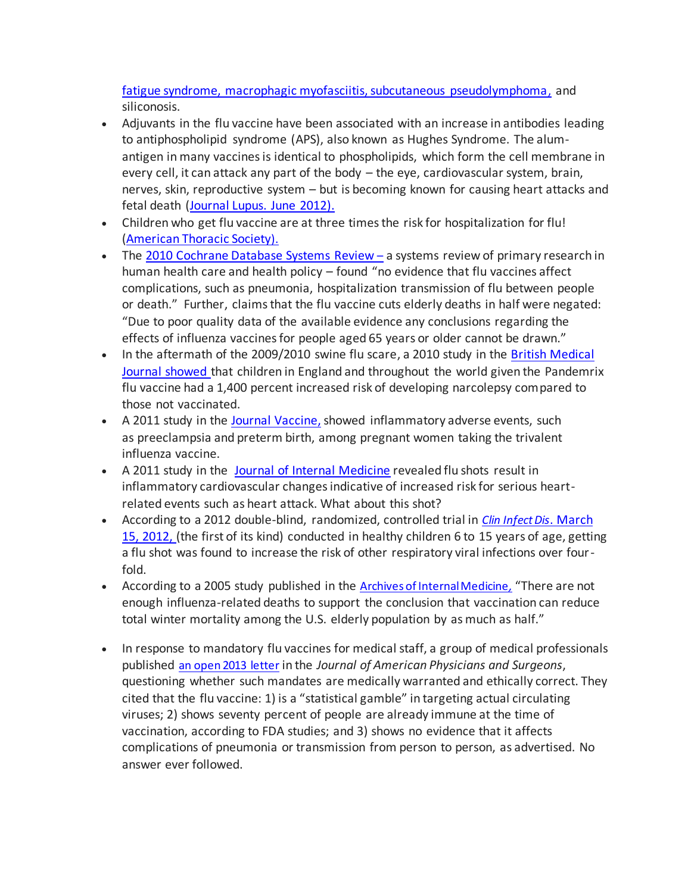[fatigue syndrome, macrophagic myofasciitis, subcutaneous pseudolymphoma](https://www.sciencedirect.com/science/article/pii/S0946672X12000089), and siliconosis.

- Adjuvants in the flu vaccine have been associated with an increase in antibodies leading to antiphospholipid syndrome (APS), also known as Hughes Syndrome. The alumantigen in many vaccines is identical to phospholipids, which form the cell membrane in every cell, it can attack any part of the body – the eye, cardiovascular system, brain, nerves, skin, reproductive system – but is becoming known for causing heart attacks and fetal death (Journal [Lupus. June 2012\)](http://lup.sagepub.com/content/20/7/665.full).
- Children who get flu vaccine are at three times the risk for hospitalization for flu! [\(American Thoracic Society](https://www.sciencedaily.com/releases/2009/05/090519172045.htm)).
- The [2010 Cochrane Database Systems Review](https://www.cochranelibrary.com/cdsr/doi/10.1002/14651858.CD001269.pub4/full) a systems review of primary research in human health care and health policy – found "no evidence that flu vaccines affect complications, such as pneumonia, hospitalization transmission of flu between people or death." Further, claims that the flu vaccine cuts elderly deaths in half were negated: "Due to poor quality data of the available evidence any conclusions regarding the effects of influenza vaccines for people aged 65 years or older cannot be drawn."
- In the aftermath of the 2009/2010 swine flu scare, a 2010 study in the British Medical [Journal](https://www.bmj.com/content/340/bmj.c2994) showed that children in England and throughout the world given the Pandemrix flu vaccine had a 1,400 percent increased risk of developing narcolepsy compared to those not vaccinated.
- A 2011 study in the [Journal Vaccine,](https://www.ncbi.nlm.nih.gov/pmc/articles/PMC3204610/) showed inflammatory adverse events, such as preeclampsia and preterm birth, among pregnant women taking the trivalent influenza vaccine.
- A 2011 study in the [Journal of Internal Medicine](https://www.ncbi.nlm.nih.gov/pubmed/20964738) revealed flu shots result in inflammatory cardiovascular changes indicative of increased risk for serious heartrelated events such as heart attack. What about this shot?
- According to a 2012 double-blind, randomized, controlled trial in *[Clin Infect Dis](https://www.ncbi.nlm.nih.gov/pmc/articles/PMC3404712/)*[. March](https://www.ncbi.nlm.nih.gov/pmc/articles/PMC3404712/)  [15, 2012,](https://www.ncbi.nlm.nih.gov/pmc/articles/PMC3404712/) (the first of its kind) conducted in healthy children 6 to 15 years of age, getting a flu shot was found to increase the risk of other respiratory viral infections over fourfold.
- According to a 2005 study published in the [Archives of Internal Medicine](https://archinte.jamanetwork.com/article.aspx?articleid=486407)*,* "There are not enough influenza-related deaths to support the conclusion that vaccination can reduce total winter mortality among the U.S. elderly population by as much as half."
- In response to mandatory flu vaccines for medical staff, a group of medical professionals published [an open 2013 letter](https://www.jpands.org/vol18no2/hieb.pdf) in the *Journal of American Physicians and Surgeons*, questioning whether such mandates are medically warranted and ethically correct. They cited that the flu vaccine: 1) is a "statistical gamble" in targeting actual circulating viruses; 2) shows seventy percent of people are already immune at the time of vaccination, according to FDA studies; and 3) shows no evidence that it affects complications of pneumonia or transmission from person to person, as advertised. No answer ever followed.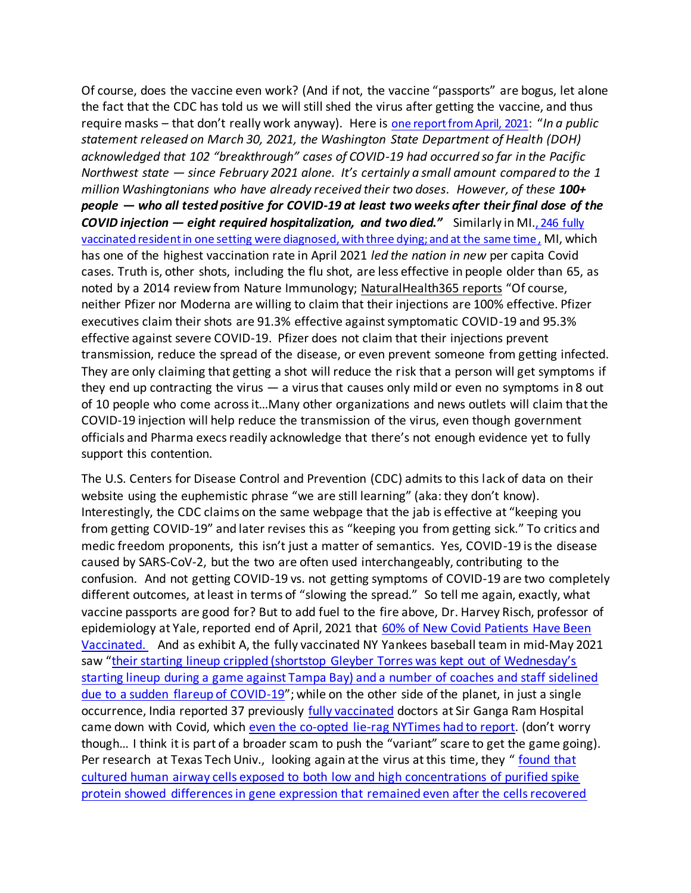Of course, does the vaccine even work? (And if not, the vaccine "passports" are bogus, let alone the fact that the CDC has told us we will still shed the virus after getting the vaccine, and thus require masks – that don't really work anyway). Here is [one report from April, 2021](https://www.naturalhealth365.com/breakthrough-cases-3788.htmlhttps:/www.naturalhealth365.com/breakthrough-cases-3788.html): "*In a public statement released on March 30, 2021, the Washington State Department of Health (DOH) acknowledged that 102 "breakthrough" cases of COVID-19 had occurred so far in the Pacific Northwest state — since February 2021 alone. It's certainly a small amount compared to the 1 million Washingtonians who have already received their two doses. However, of these 100+ people — who all tested positive for COVID-19 at least two weeks after their final dose of the COVID injection — eight required hospitalization, and two died."* Similarly in MI.[, 246 fully](https://wwmt.com/news/state/246-fully-vaccinated-michigan-residents-test-positive-for-covid-19-3-died)  [vaccinated resident in one setting were diagnosed, with three dying; and at the same time](https://wwmt.com/news/state/246-fully-vaccinated-michigan-residents-test-positive-for-covid-19-3-died) , MI, which has one of the highest vaccination rate in April 2021 *led the nation in new* per capita Covid cases. Truth is, other shots, including the flu shot, are less effective in people older than 65, as noted by a 2014 review from Nature Immunology; [NaturalHealth365 reports](https://www.naturalhealth365.com/breakthrough-cases-3788.htmlhttps:/www.naturalhealth365.com/breakthrough-cases-3788.html) "Of course, neither Pfizer nor Moderna are willing to claim that their injections are 100% effective. Pfizer executives claim their shots are 91.3% effective against symptomatic COVID-19 and 95.3% effective against severe COVID-19. Pfizer does not claim that their injections prevent transmission, reduce the spread of the disease, or even prevent someone from getting infected. They are only claiming that getting a shot will reduce the risk that a person will get symptoms if they end up contracting the virus  $-$  a virus that causes only mild or even no symptoms in 8 out of 10 people who come across it…Many other organizations and news outlets will claim that the COVID-19 injection will help reduce the transmission of the virus, even though government officials and Pharma execs readily acknowledge that there's not enough evidence yet to fully support this contention.

The U.S. Centers for Disease Control and Prevention (CDC) admits to this lack of data on their website using the euphemistic phrase "we are still learning" (aka: they don't know). Interestingly, the CDC claims on the same webpage that the jab is effective at "keeping you from getting COVID-19" and later revises this as "keeping you from getting sick." To critics and medic freedom proponents, this isn't just a matter of semantics. Yes, COVID-19 is the disease caused by SARS-CoV-2, but the two are often used interchangeably, contributing to the confusion. And not getting COVID-19 vs. not getting symptoms of COVID-19 are two completely different outcomes, at least in terms of "slowing the spread." So tell me again, exactly, what vaccine passports are good for? But to add fuel to the fire above, Dr. Harvey Risch, professor of epidemiology at Yale, reported end of April, 2021 that 60% of New Covid Patients Have Been [Vaccinated.](https://rumble.com/vftpdz-dr.-harvey-risch-60-of-new-covid-patients-have-been-vaccinated.html) And as exhibit A, the fully vaccinated NY Yankees baseball team in mid-May 2021 saw ["their starting lineup crippled \(shortstop Gleyber Torres was kept out of Wednesday's](https://www.zerohedge.com/covid-19/yankees-suffer-covid-resurgence-8-fully-vaccinated-players-staff-test-positive)  [starting lineup during a game against Tampa Bay\) and a number of coaches and staff sidelined](https://www.zerohedge.com/covid-19/yankees-suffer-covid-resurgence-8-fully-vaccinated-players-staff-test-positive)  [due to a sudden flareup of COVID-19](https://www.zerohedge.com/covid-19/yankees-suffer-covid-resurgence-8-fully-vaccinated-players-staff-test-positive)"; while on the other side of the planet, in just a single occurrence, India reported 37 previously fully vaccinated doctors at Sir Ganga Ram Hospital came down with Covid, which [even the co-opted lie-rag NYTimes had to report](https://www.nytimes.com/2021/04/28/world/asia/india-covid19-variant.html). (don't worry though… I think it is part of a broader scam to push the "variant" scare to get the game going). Per research at Texas Tech Univ., looking again at the virus at this time, they " [found that](http://endoftheamericandream.com/a-new-study-that-was-just-released-could-fundamentally-change-the-way-that-we-view-this-pandemic/)  [cultured human airway cells exposed to both low and high concentrations of purified spike](http://endoftheamericandream.com/a-new-study-that-was-just-released-could-fundamentally-change-the-way-that-we-view-this-pandemic/)  [protein showed differences in gene expression that remained even after the cells recovered](http://endoftheamericandream.com/a-new-study-that-was-just-released-could-fundamentally-change-the-way-that-we-view-this-pandemic/)